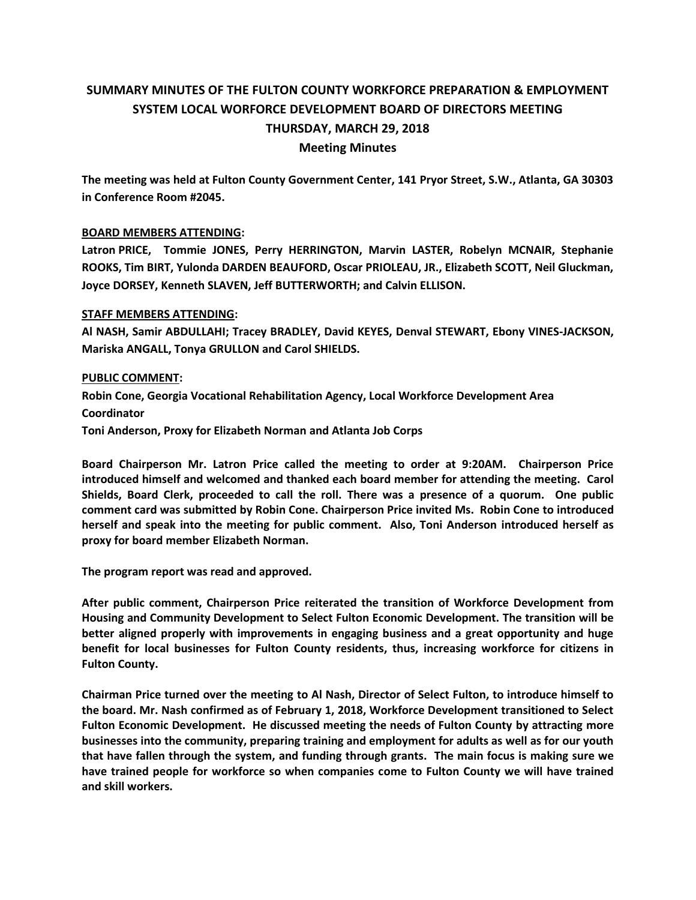# **SUMMARY MINUTES OF THE FULTON COUNTY WORKFORCE PREPARATION & EMPLOYMENT SYSTEM LOCAL WORFORCE DEVELOPMENT BOARD OF DIRECTORS MEETING THURSDAY, MARCH 29, 2018 Meeting Minutes**

**The meeting was held at Fulton County Government Center, 141 Pryor Street, S.W., Atlanta, GA 30303 in Conference Room #2045.** 

## **BOARD MEMBERS ATTENDING:**

**Latron PRICE, Tommie JONES, Perry HERRINGTON, Marvin LASTER, Robelyn MCNAIR, Stephanie ROOKS, Tim BIRT, Yulonda DARDEN BEAUFORD, Oscar PRIOLEAU, JR., Elizabeth SCOTT, Neil Gluckman, Joyce DORSEY, Kenneth SLAVEN, Jeff BUTTERWORTH; and Calvin ELLISON.** 

## **STAFF MEMBERS ATTENDING:**

**Al NASH, Samir ABDULLAHI; Tracey BRADLEY, David KEYES, Denval STEWART, Ebony VINES-JACKSON, Mariska ANGALL, Tonya GRULLON and Carol SHIELDS.**

### **PUBLIC COMMENT:**

**Robin Cone, Georgia Vocational Rehabilitation Agency, Local Workforce Development Area Coordinator Toni Anderson, Proxy for Elizabeth Norman and Atlanta Job Corps** 

**Board Chairperson Mr. Latron Price called the meeting to order at 9:20AM. Chairperson Price introduced himself and welcomed and thanked each board member for attending the meeting. Carol Shields, Board Clerk, proceeded to call the roll. There was a presence of a quorum. One public comment card was submitted by Robin Cone. Chairperson Price invited Ms. Robin Cone to introduced herself and speak into the meeting for public comment. Also, Toni Anderson introduced herself as proxy for board member Elizabeth Norman.** 

**The program report was read and approved.** 

**After public comment, Chairperson Price reiterated the transition of Workforce Development from Housing and Community Development to Select Fulton Economic Development. The transition will be better aligned properly with improvements in engaging business and a great opportunity and huge benefit for local businesses for Fulton County residents, thus, increasing workforce for citizens in Fulton County.** 

**Chairman Price turned over the meeting to Al Nash, Director of Select Fulton, to introduce himself to the board. Mr. Nash confirmed as of February 1, 2018, Workforce Development transitioned to Select Fulton Economic Development. He discussed meeting the needs of Fulton County by attracting more businesses into the community, preparing training and employment for adults as well as for our youth that have fallen through the system, and funding through grants. The main focus is making sure we have trained people for workforce so when companies come to Fulton County we will have trained and skill workers.**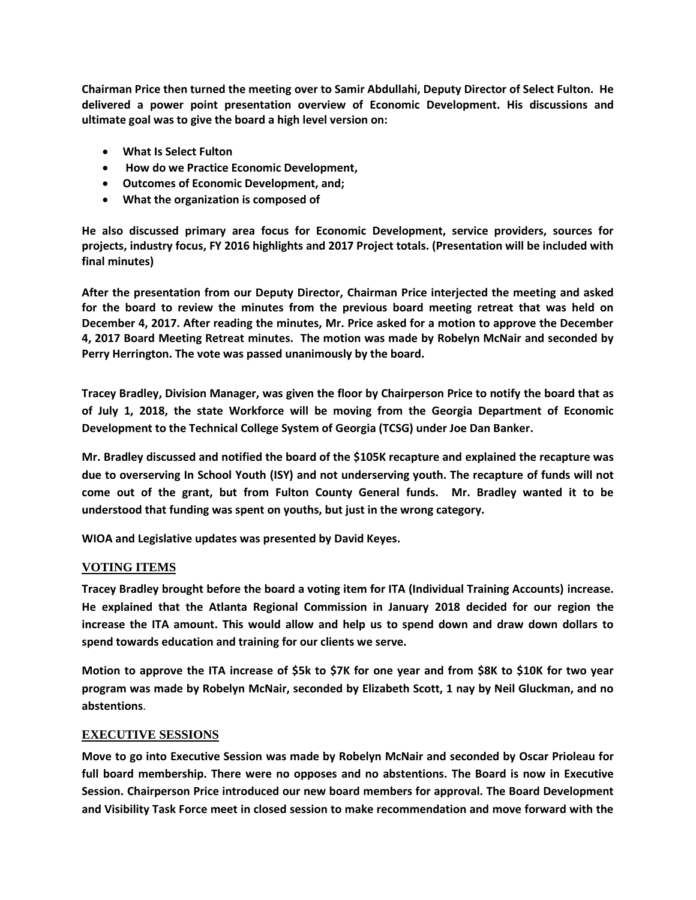**Chairman Price then turned the meeting over to Samir Abdullahi, Deputy Director of Select Fulton. He delivered a power point presentation overview of Economic Development. His discussions and ultimate goal was to give the board a high level version on:** 

- **What Is Select Fulton**
- **How do we Practice Economic Development,**
- **Outcomes of Economic Development, and;**
- **What the organization is composed of**

**He also discussed primary area focus for Economic Development, service providers, sources for projects, industry focus, FY 2016 highlights and 2017 Project totals. (Presentation will be included with final minutes)** 

**After the presentation from our Deputy Director, Chairman Price interjected the meeting and asked for the board to review the minutes from the previous board meeting retreat that was held on December 4, 2017. After reading the minutes, Mr. Price asked for a motion to approve the December 4, 2017 Board Meeting Retreat minutes. The motion was made by Robelyn McNair and seconded by Perry Herrington. The vote was passed unanimously by the board.** 

**Tracey Bradley, Division Manager, was given the floor by Chairperson Price to notify the board that as of July 1, 2018, the state Workforce will be moving from the Georgia Department of Economic Development to the Technical College System of Georgia (TCSG) under Joe Dan Banker.**

**Mr. Bradley discussed and notified the board of the \$105K recapture and explained the recapture was due to overserving In School Youth (ISY) and not underserving youth. The recapture of funds will not come out of the grant, but from Fulton County General funds. Mr. Bradley wanted it to be understood that funding was spent on youths, but just in the wrong category.** 

**WIOA and Legislative updates was presented by David Keyes.** 

# **VOTING ITEMS**

**Tracey Bradley brought before the board a voting item for ITA (Individual Training Accounts) increase. He explained that the Atlanta Regional Commission in January 2018 decided for our region the increase the ITA amount. This would allow and help us to spend down and draw down dollars to spend towards education and training for our clients we serve.** 

**Motion to approve the ITA increase of \$5k to \$7K for one year and from \$8K to \$10K for two year program was made by Robelyn McNair, seconded by Elizabeth Scott, 1 nay by Neil Gluckman, and no abstentions**.

# **EXECUTIVE SESSIONS**

**Move to go into Executive Session was made by Robelyn McNair and seconded by Oscar Prioleau for full board membership. There were no opposes and no abstentions. The Board is now in Executive Session. Chairperson Price introduced our new board members for approval. The Board Development and Visibility Task Force meet in closed session to make recommendation and move forward with the**